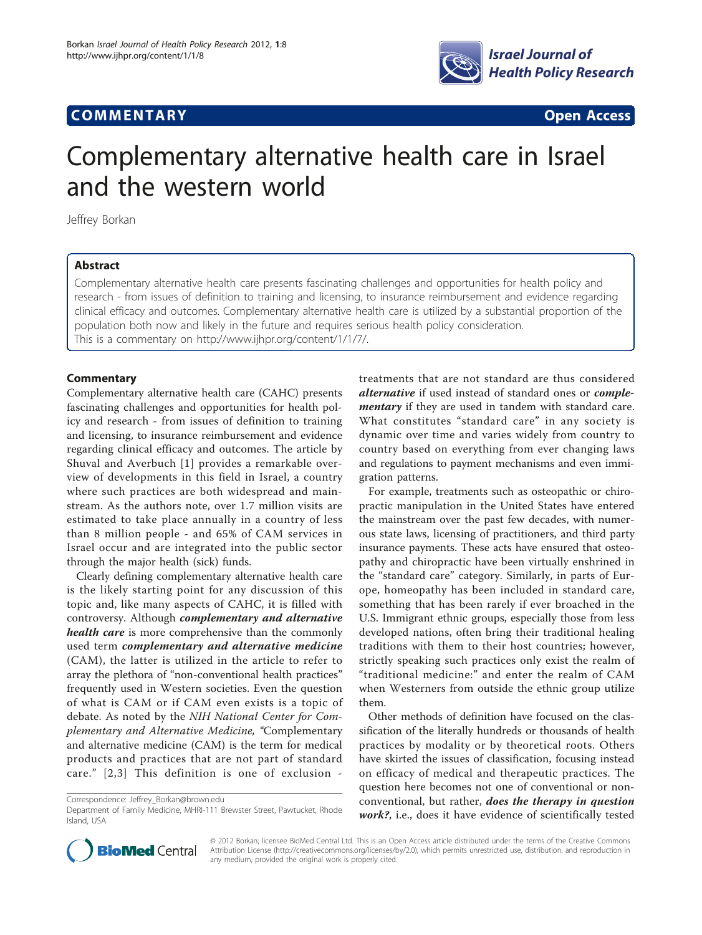# **COMMENTARY COMMENTARY Open Access**



# Complementary alternative health care in Israel and the western world

Jeffrey Borkan

# Abstract

Complementary alternative health care presents fascinating challenges and opportunities for health policy and research - from issues of definition to training and licensing, to insurance reimbursement and evidence regarding clinical efficacy and outcomes. Complementary alternative health care is utilized by a substantial proportion of the population both now and likely in the future and requires serious health policy consideration. This is a commentary on<http://www.ijhpr.org/content/1/1/7/>.

# **Commentary**

Complementary alternative health care (CAHC) presents fascinating challenges and opportunities for health policy and research - from issues of definition to training and licensing, to insurance reimbursement and evidence regarding clinical efficacy and outcomes. The article by Shuval and Averbuch [[1\]](#page-1-0) provides a remarkable overview of developments in this field in Israel, a country where such practices are both widespread and mainstream. As the authors note, over 1.7 million visits are estimated to take place annually in a country of less than 8 million people - and 65% of CAM services in Israel occur and are integrated into the public sector through the major health (sick) funds.

Clearly defining complementary alternative health care is the likely starting point for any discussion of this topic and, like many aspects of CAHC, it is filled with controversy. Although complementary and alternative health care is more comprehensive than the commonly used term complementary and alternative medicine (CAM), the latter is utilized in the article to refer to array the plethora of "non-conventional health practices" frequently used in Western societies. Even the question of what is CAM or if CAM even exists is a topic of debate. As noted by the NIH National Center for Complementary and Alternative Medicine, "Complementary and alternative medicine (CAM) is the term for medical products and practices that are not part of standard care." [[2,3\]](#page-1-0) This definition is one of exclusion -

treatments that are not standard are thus considered alternative if used instead of standard ones or complementary if they are used in tandem with standard care. What constitutes "standard care" in any society is dynamic over time and varies widely from country to country based on everything from ever changing laws and regulations to payment mechanisms and even immigration patterns.

For example, treatments such as osteopathic or chiropractic manipulation in the United States have entered the mainstream over the past few decades, with numerous state laws, licensing of practitioners, and third party insurance payments. These acts have ensured that osteopathy and chiropractic have been virtually enshrined in the "standard care" category. Similarly, in parts of Europe, homeopathy has been included in standard care, something that has been rarely if ever broached in the U.S. Immigrant ethnic groups, especially those from less developed nations, often bring their traditional healing traditions with them to their host countries; however, strictly speaking such practices only exist the realm of "traditional medicine:" and enter the realm of CAM when Westerners from outside the ethnic group utilize them.

Other methods of definition have focused on the classification of the literally hundreds or thousands of health practices by modality or by theoretical roots. Others have skirted the issues of classification, focusing instead on efficacy of medical and therapeutic practices. The question here becomes not one of conventional or nonconventional, but rather, does the therapy in question work?, i.e., does it have evidence of scientifically tested



© 2012 Borkan; licensee BioMed Central Ltd. This is an Open Access article distributed under the terms of the Creative Commons Attribution License [\(http://creativecommons.org/licenses/by/2.0](http://creativecommons.org/licenses/by/2.0)), which permits unrestricted use, distribution, and reproduction in any medium, provided the original work is properly cited.

Correspondence: [Jeffrey\\_Borkan@brown.edu](mailto:Jeffrey_Borkan@brown.edu)

Department of Family Medicine, MHRI-111 Brewster Street, Pawtucket, Rhode Island, USA